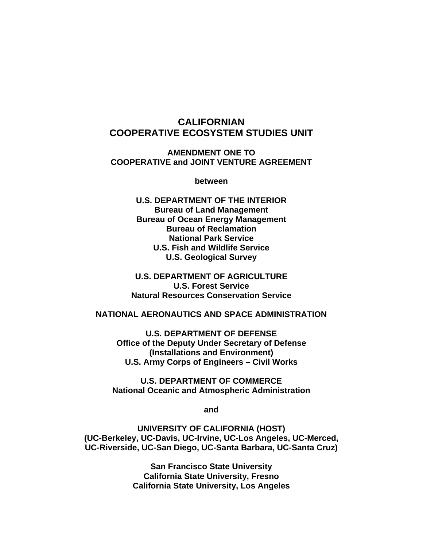## **CALIFORNIAN COOPERATIVE ECOSYSTEM STUDIES UNIT**

**AMENDMENT ONE TO COOPERATIVE and JOINT VENTURE AGREEMENT** 

**between** 

**U.S. DEPARTMENT OF THE INTERIOR Bureau of Land Management Bureau of Ocean Energy Management Bureau of Reclamation National Park Service U.S. Fish and Wildlife Service U.S. Geological Survey** 

**U.S. DEPARTMENT OF AGRICULTURE U.S. Forest Service Natural Resources Conservation Service** 

#### **NATIONAL AERONAUTICS AND SPACE ADMINISTRATION**

**U.S. DEPARTMENT OF DEFENSE Office of the Deputy Under Secretary of Defense (Installations and Environment) U.S. Army Corps of Engineers – Civil Works** 

**U.S. DEPARTMENT OF COMMERCE National Oceanic and Atmospheric Administration** 

**and** 

**UNIVERSITY OF CALIFORNIA (HOST) (UC-Berkeley, UC-Davis, UC-Irvine, UC-Los Angeles, UC-Merced, UC-Riverside, UC-San Diego, UC-Santa Barbara, UC-Santa Cruz)** 

> **San Francisco State University California State University, Fresno California State University, Los Angeles**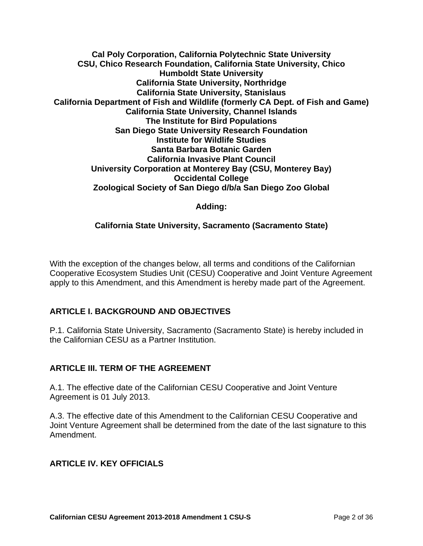**Cal Poly Corporation, California Polytechnic State University CSU, Chico Research Foundation, California State University, Chico Humboldt State University California State University, Northridge California State University, Stanislaus California Department of Fish and Wildlife (formerly CA Dept. of Fish and Game) California State University, Channel Islands The Institute for Bird Populations San Diego State University Research Foundation Institute for Wildlife Studies Santa Barbara Botanic Garden California Invasive Plant Council University Corporation at Monterey Bay (CSU, Monterey Bay) Occidental College Zoological Society of San Diego d/b/a San Diego Zoo Global** 

### **Adding:**

### **California State University, Sacramento (Sacramento State)**

With the exception of the changes below, all terms and conditions of the Californian Cooperative Ecosystem Studies Unit (CESU) Cooperative and Joint Venture Agreement apply to this Amendment, and this Amendment is hereby made part of the Agreement.

### **ARTICLE I. BACKGROUND AND OBJECTIVES**

P.1. California State University, Sacramento (Sacramento State) is hereby included in the Californian CESU as a Partner Institution.

### **ARTICLE III. TERM OF THE AGREEMENT**

A.1. The effective date of the Californian CESU Cooperative and Joint Venture Agreement is 01 July 2013.

A.3. The effective date of this Amendment to the Californian CESU Cooperative and Joint Venture Agreement shall be determined from the date of the last signature to this Amendment.

### **ARTICLE IV. KEY OFFICIALS**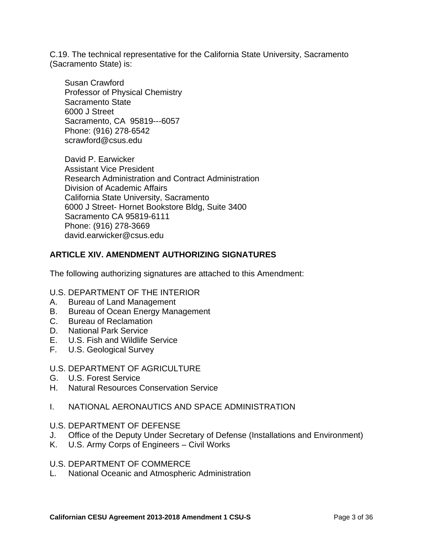C.19. The technical representative for the California State University, Sacramento (Sacramento State) is:

Susan Crawford Professor of Physical Chemistry Sacramento State 6000 J Street Sacramento, CA 95819--‐6057 Phone: (916) 278‐6542 scrawford@csus.edu

David P. Earwicker Assistant Vice President Research Administration and Contract Administration Division of Academic Affairs California State University, Sacramento 6000 J Street- Hornet Bookstore Bldg, Suite 3400 Sacramento CA 95819-6111 Phone: (916) 278-3669 david.earwicker@csus.edu

### **ARTICLE XIV. AMENDMENT AUTHORIZING SIGNATURES**

The following authorizing signatures are attached to this Amendment:

#### U.S. DEPARTMENT OF THE INTERIOR

- A. Bureau of Land Management
- B. Bureau of Ocean Energy Management
- C. Bureau of Reclamation
- D. National Park Service
- E. U.S. Fish and Wildlife Service
- F. U.S. Geological Survey

### U.S. DEPARTMENT OF AGRICULTURE

- G. U.S. Forest Service
- H. Natural Resources Conservation Service

### I. NATIONAL AERONAUTICS AND SPACE ADMINISTRATION

#### U.S. DEPARTMENT OF DEFENSE

- J. Office of the Deputy Under Secretary of Defense (Installations and Environment)
- K. U.S. Army Corps of Engineers Civil Works

### U.S. DEPARTMENT OF COMMERCE

L. National Oceanic and Atmospheric Administration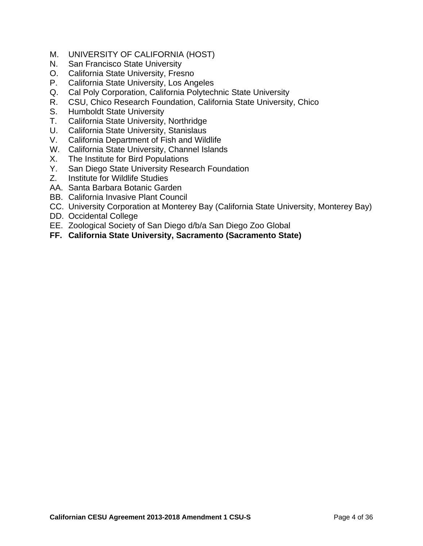- M. UNIVERSITY OF CALIFORNIA (HOST)
- N. San Francisco State University
- O. California State University, Fresno
- P. California State University, Los Angeles
- Q. Cal Poly Corporation, California Polytechnic State University
- R. CSU, Chico Research Foundation, California State University, Chico
- S. Humboldt State University
- T. California State University, Northridge
- U. California State University, Stanislaus
- V. California Department of Fish and Wildlife
- W. California State University, Channel Islands
- X. The Institute for Bird Populations
- Y. San Diego State University Research Foundation
- Z. Institute for Wildlife Studies
- AA. Santa Barbara Botanic Garden
- BB. California Invasive Plant Council
- CC. University Corporation at Monterey Bay (California State University, Monterey Bay)
- DD. Occidental College
- EE. Zoological Society of San Diego d/b/a San Diego Zoo Global
- **FF. California State University, Sacramento (Sacramento State)**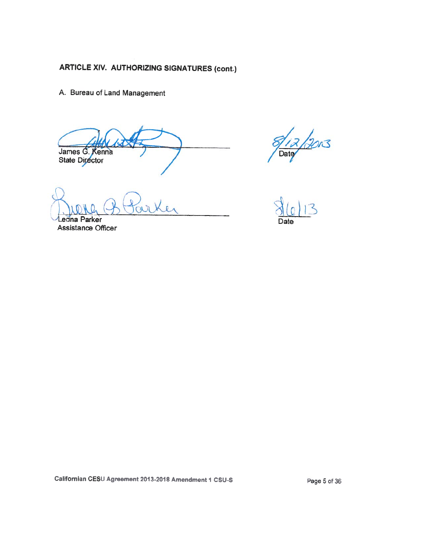A. Bureau of Land Management

James G. Kenna State Director

Leona Parker Assistance Officer

 $\frac{2}{\pi}$ 

Californian CESU Agreement 2013-2018 Amendment 1 CSU-S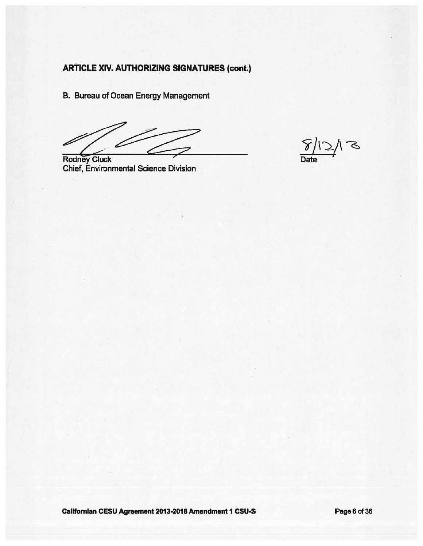**B. Bureau of Ocean Energy Management** 

**Rodney Cluck Chief, Environmental Science Division** 

 $5/$ 

Californian CESU Agreement 2013-2018 Amendment 1 CSU-S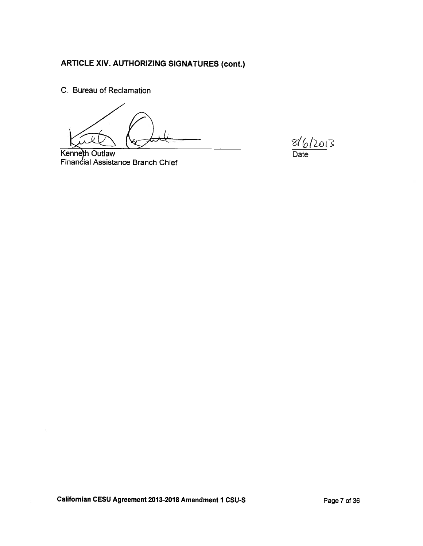C. Bureau of Reclamation

 $816/2013$ Date

Kenneth Outlaw Financial Assistance Branch Chief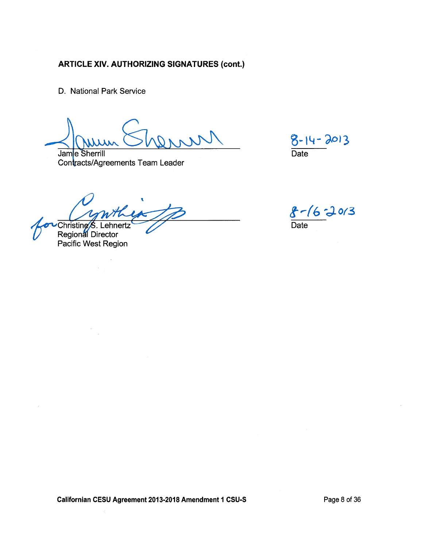D. National Park Service

Jame Sherrill Contracts/Agreements Team Leader

 $8 - 14 - 2013$ Date

Christine S. Lehnertz<br>Regional Director

Pacific West Region

 $8 - 16 - 2013$ <br>Date

Californian CESU Agreement 2013-2018 Amendment 1 CSU-S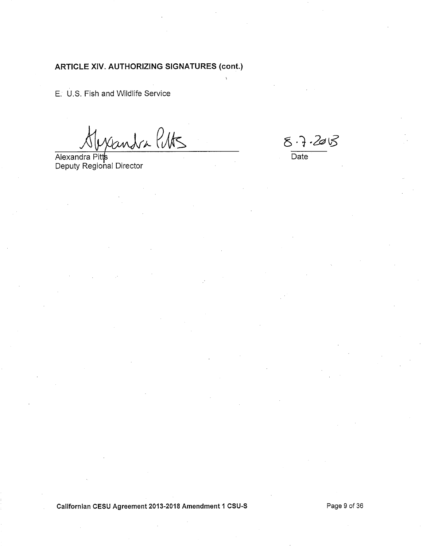E. U.S. Fish and Wildlife Service

Candra Puts

Alexandra Pitts<br>Deputy Regional Director

 $87.205$ 

Date

Californian CESU Agreement 2013-2018 Amendment 1 CSU-S

Page 9 of 36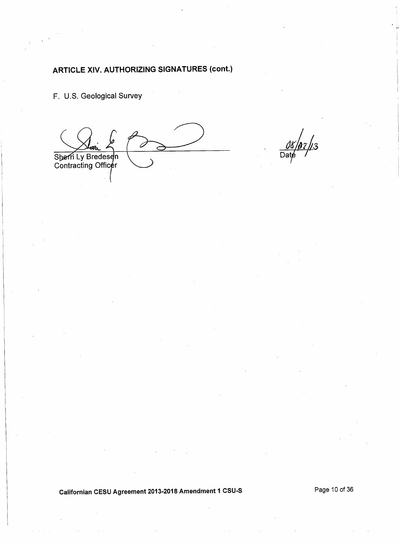F. U.S. Geological Survey

 $\overline{\mathcal{L}}$ Sherri Ly Bredesen<br>Contracting Officer

 $\frac{\partial \mathcal{E}}{\text{Date}}$ //3

Californian CESU Agreement 2013-2018 Amendment 1 CSU-S

Page 10 of 36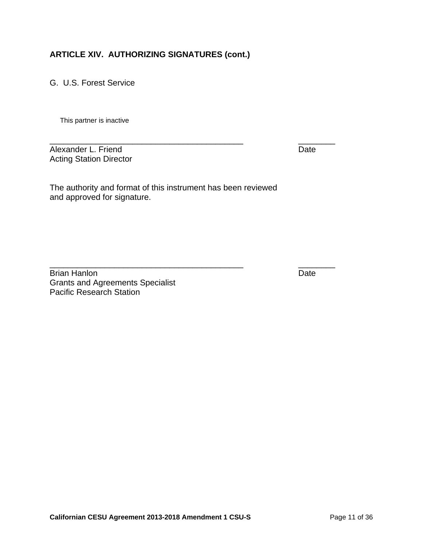G. U.S. Forest Service

This partner is inactive

\_\_\_\_\_\_\_\_\_\_\_\_\_\_\_\_\_\_\_\_\_\_\_\_\_\_\_\_\_\_\_\_\_\_\_\_\_\_\_\_\_\_ \_\_\_\_\_\_\_\_ Alexander L. Friend Date Acting Station Director

The authority and format of this instrument has been reviewed and approved for signature.

\_\_\_\_\_\_\_\_\_\_\_\_\_\_\_\_\_\_\_\_\_\_\_\_\_\_\_\_\_\_\_\_\_\_\_\_\_\_\_\_\_\_ \_\_\_\_\_\_\_\_

Brian Hanlon Date Grants and Agreements Specialist Pacific Research Station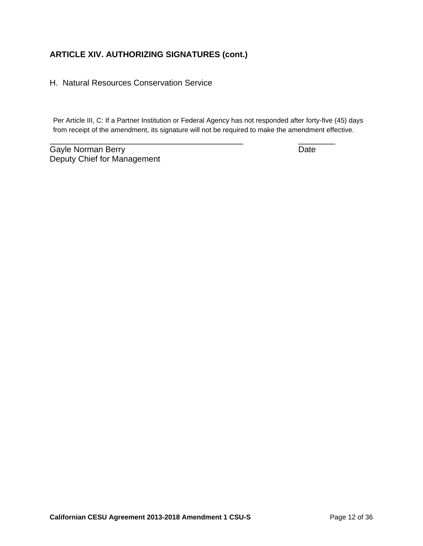H. Natural Resources Conservation Service

Per Article III, C: If a Partner Institution or Federal Agency has not responded after forty-five (45) days from receipt of the amendment, its signature will not be required to make the amendment effective.

\_\_\_\_\_\_\_\_\_\_\_\_\_\_\_\_\_\_\_\_\_\_\_\_\_\_\_\_\_\_\_\_\_\_\_\_\_\_\_\_\_\_ \_\_\_\_\_\_\_\_

Gayle Norman Berry **Date** Deputy Chief for Management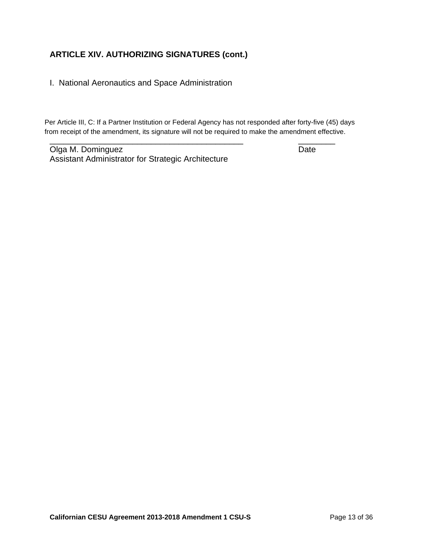I. National Aeronautics and Space Administration

Per Article III, C: If a Partner Institution or Federal Agency has not responded after forty-five (45) days from receipt of the amendment, its signature will not be required to make the amendment effective.

\_\_\_\_\_\_\_\_\_\_\_\_\_\_\_\_\_\_\_\_\_\_\_\_\_\_\_\_\_\_\_\_\_\_\_\_\_\_\_\_\_\_ \_\_\_\_\_\_\_\_

Olga M. Dominguez **Date** Assistant Administrator for Strategic Architecture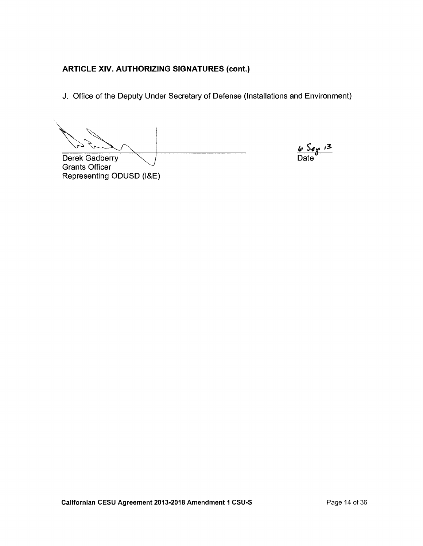J. Office of the Deputy Under Secretary of Defense (Installations and Environment)

Derek Gadberry **Grants Officer** Representing ODUSD (I&E)

 $6$  Sep 13 Date<sup></sup>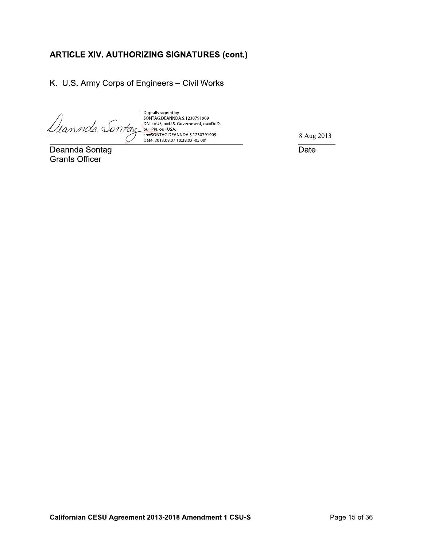K. U.S. Army Corps of Engineers - Civil Works

 $\setlength{\abovedisplays\hbox{\begin{minipage}{13.5cm}\textbf{Digitally signed by}} \nonumber \texttt{Digitally signed by}} \nonumber \texttt{SONTAG.DEANNDA}.5.1230791909} \nonumber \texttt{DN: c=US, o=U.S. Government, ou=DoD,} \nonumber \texttt{DL} \nonumber \texttt{DN: c=US, o=U.S.} \nonumber \texttt{OID} \nonumber \texttt{Date: 2013.08.07 10:38:02 -05'00'}} \nonumber \end{minipage}$ 

Deannda Sontag **Grants Officer** 

8 Aug 2013

Date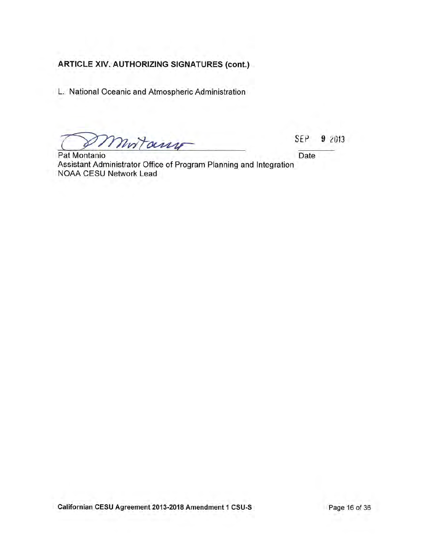L. National Oceanic and Atmospheric Administration

mortany

Pat Montanio Assistant Administrator Office of Program Planning and Integration NOAA CESU Network Lead

SEP 9 2013

Date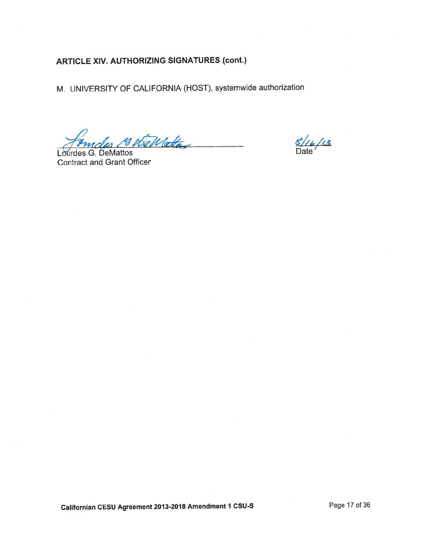M. UNIVERSITY OF CALIFORNIA (HOST), systemwide authorization

ndes 19 WeWatte

Lourdes G. DeMattos **Contract and Grant Officer** 

 $\frac{8/16}{13}$ 

Californian CESU Agreement 2013-2018 Amendment 1 CSU-S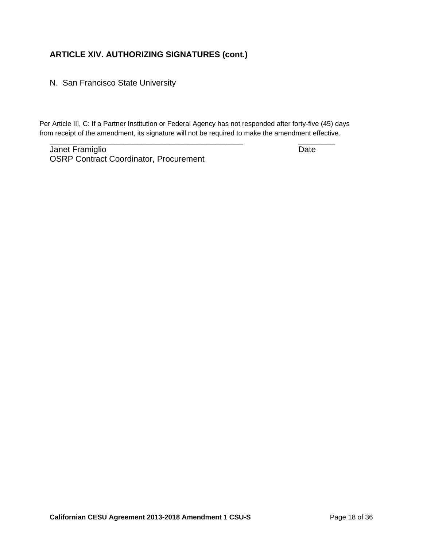N. San Francisco State University

\_\_\_\_\_\_\_\_\_\_\_\_\_\_\_\_\_\_\_\_\_\_\_\_\_\_\_\_\_\_\_\_\_\_\_\_\_\_\_\_\_\_ \_\_\_\_\_\_\_\_ Per Article III, C: If a Partner Institution or Federal Agency has not responded after forty-five (45) days from receipt of the amendment, its signature will not be required to make the amendment effective.

Janet Framiglio **Date** OSRP Contract Coordinator, Procurement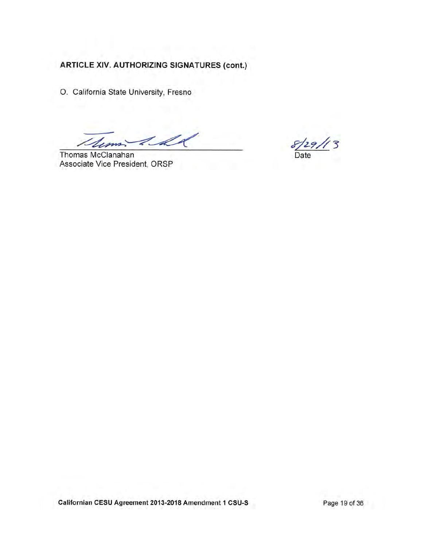O. California State University, Fresno

1 d *Dumi* 

Thomas McClanahan Associate Vice President, ORSP

Date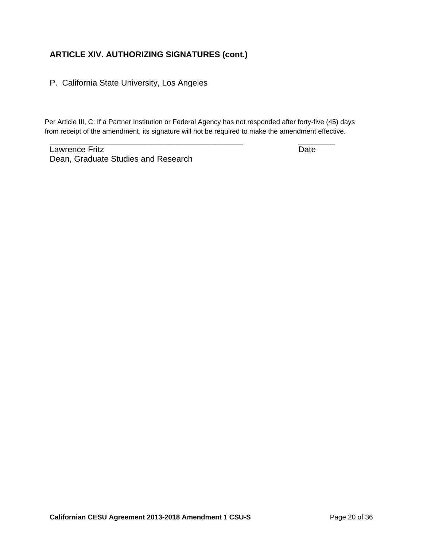P. California State University, Los Angeles

Per Article III, C: If a Partner Institution or Federal Agency has not responded after forty-five (45) days from receipt of the amendment, its signature will not be required to make the amendment effective.

\_\_\_\_\_\_\_\_\_\_\_\_\_\_\_\_\_\_\_\_\_\_\_\_\_\_\_\_\_\_\_\_\_\_\_\_\_\_\_\_\_\_ \_\_\_\_\_\_\_\_

Lawrence Fritz Date Dean, Graduate Studies and Research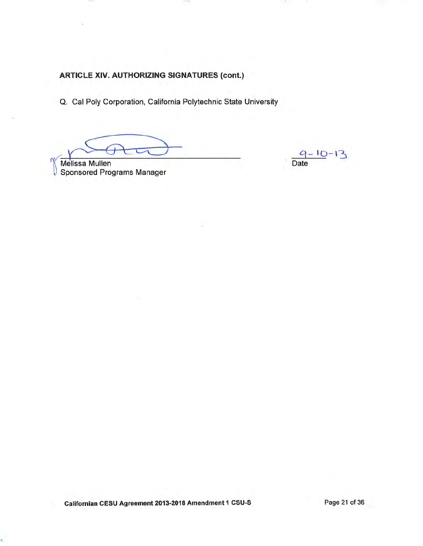Q. Cal Poly Corporation, California Polytechnic State University

Melissa Mullen<br>Sponsored Programs Manager

 $9 - 10 - 13$ Date

Californian CESU Agreement 2013-2018 Amendment 1 CSU-S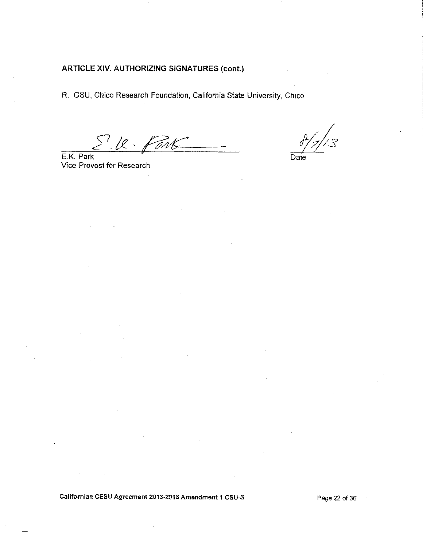R. CSU, Chico Research Foundation, California State University, Chico

S.U. Park

E.K. Park Vice Provost for Research

.<br>3

Date

#### Californian CESU Agreement 2013-2018 Amendment 1 CSU-S

Page 22 of 36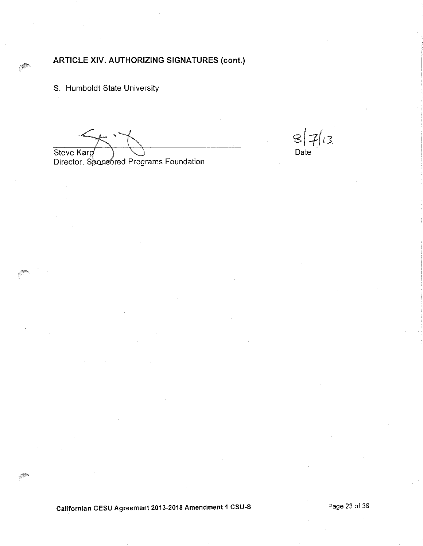S. Humboldt State University

Steve Karp Director, Sponsored Programs Foundation

 $\sqrt{3}$ Date

Californian CESU Agreement 2013-2018 Amendment 1 CSU-S

Page 23 of 36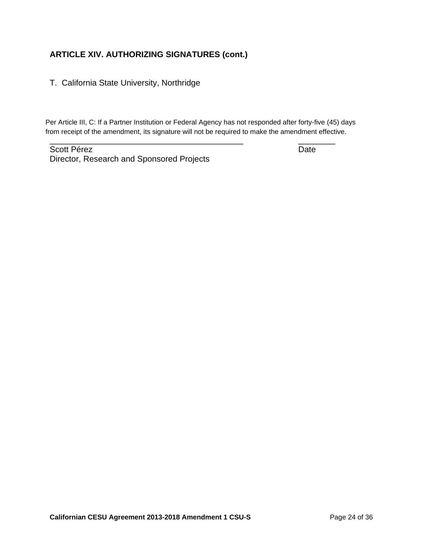### T. California State University, Northridge

Per Article III, C: If a Partner Institution or Federal Agency has not responded after forty-five (45) days from receipt of the amendment, its signature will not be required to make the amendment effective.

\_\_\_\_\_\_\_\_\_\_\_\_\_\_\_\_\_\_\_\_\_\_\_\_\_\_\_\_\_\_\_\_\_\_\_\_\_\_\_\_\_\_ \_\_\_\_\_\_\_\_

Scott Pérez **Date** Director, Research and Sponsored Projects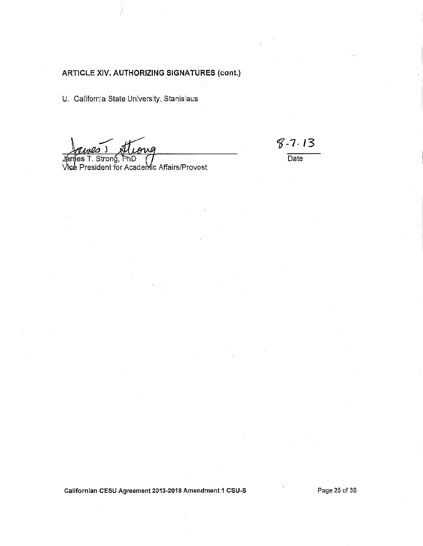U. California State University, Stanislaus

James T. Strong, PhD<br>Vice President for Academic Affairs/Provost

 $8 - 7.13$ 

 $\overline{Date}$ 

Californian CESU Agreement 2013-2018 Amendment 1 CSU-S

Page 25 of 36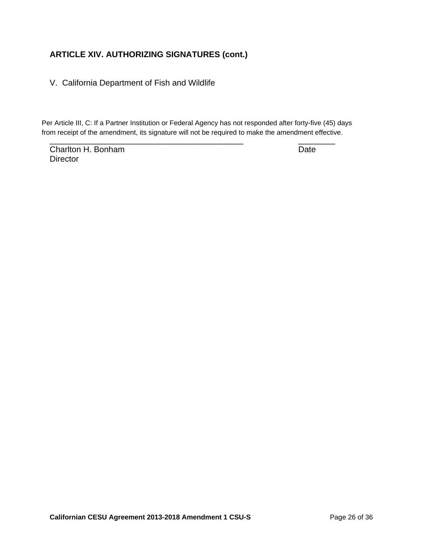V. California Department of Fish and Wildlife

\_\_\_\_\_\_\_\_\_\_\_\_\_\_\_\_\_\_\_\_\_\_\_\_\_\_\_\_\_\_\_\_\_\_\_\_\_\_\_\_\_\_ \_\_\_\_\_\_\_\_ Per Article III, C: If a Partner Institution or Federal Agency has not responded after forty-five (45) days from receipt of the amendment, its signature will not be required to make the amendment effective.

Charlton H. Bonham Date **Director**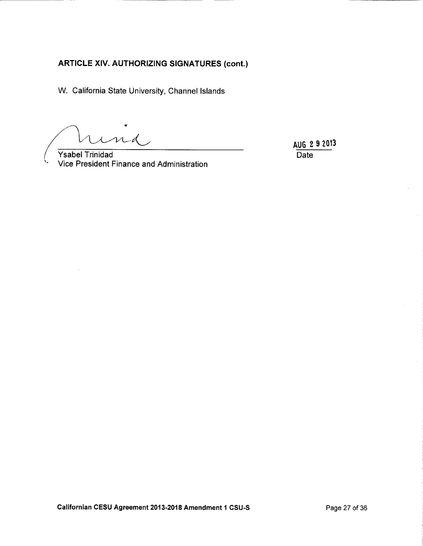W. California State University, Channel Islands

ud

**Ysabel Trinidad** Vice President Finance and Administration

AUG 2 9 2013 Date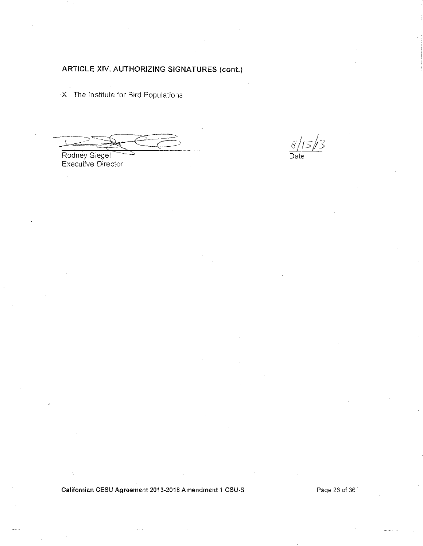X. The Institute for Bird Populations

 $8/15/3$ Date

Rodney Siegel<br>Executive Director

Californian CESU Agreement 2013-2018 Amendment 1 CSU-S

Page 28 of 36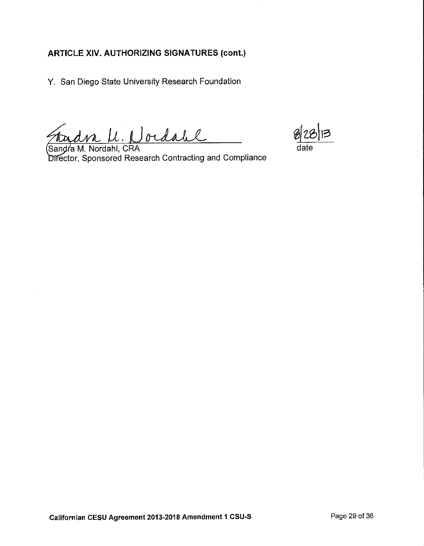Y. San Diego State University Research Foundation

Fradra U. Nordale

Sandra M. Nordahl, CRA Director, Sponsored Research Contracting and Compliance

date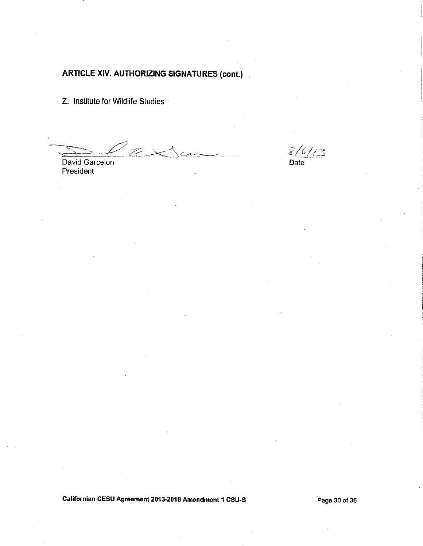Z. Institute for Wildlife Studies

David Garcelon President

 $\frac{\sqrt{6}}{2}$ Date

Californian CESU Agreement 2013-2018 Amendment 1 CSU-S

Page 30 of 36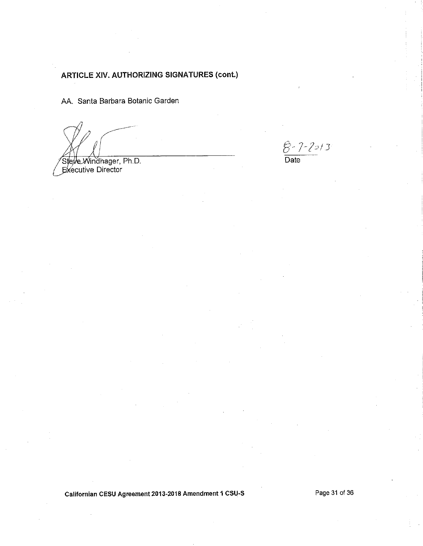AA. Santa Barbara Botanic Garden

Steve Windhager, Ph.D.<br>Executive Director

 $\frac{\hat{\beta} \cdot 7 - 2 \cdot 7 \cdot 3}{\text{Date}}$ 

Californian CESU Agreement 2013-2018 Amendment 1 CSU-S

Page 31 of 36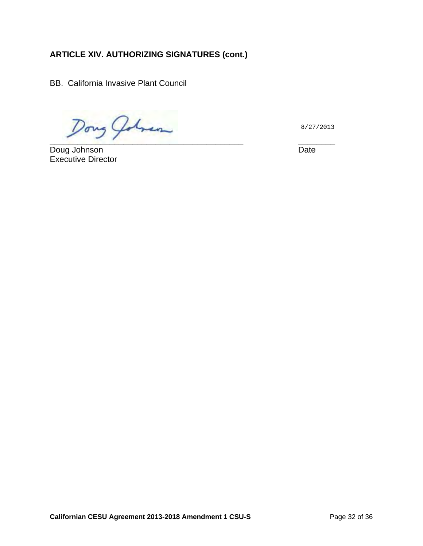BB. California Invasive Plant Council

 $\n *Dony*\n *Qdmenn*\n\n  $\frac{8}{27}$ \n\n  $\frac{8}{27}$$ 

Doug Johnson Executive Director

8/27/2013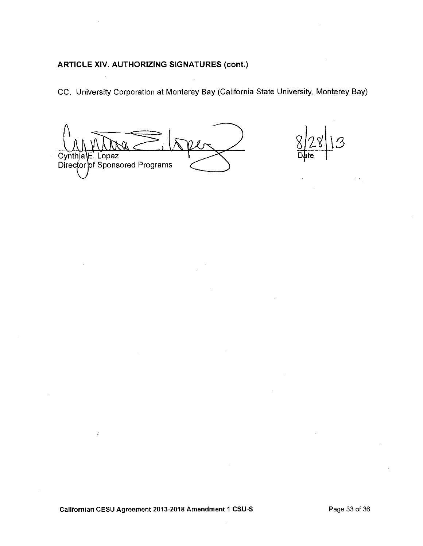CC. University Corporation at Monterey Bay (California State University, Monterey Bay)

 $\sim 10^7$ 

Cynthia\E. Lopez Director of Sponsored Programs

 $\overline{\mathcal{S}}$ D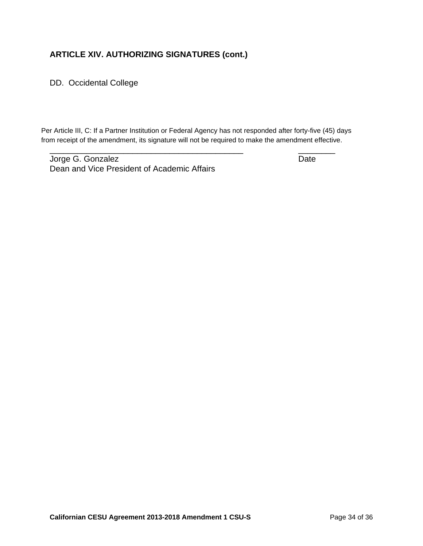DD. Occidental College

Per Article III, C: If a Partner Institution or Federal Agency has not responded after forty-five (45) days from receipt of the amendment, its signature will not be required to make the amendment effective.

\_\_\_\_\_\_\_\_\_\_\_\_\_\_\_\_\_\_\_\_\_\_\_\_\_\_\_\_\_\_\_\_\_\_\_\_\_\_\_\_\_\_ \_\_\_\_\_\_\_\_

Jorge G. Gonzalez **Date** Dean and Vice President of Academic Affairs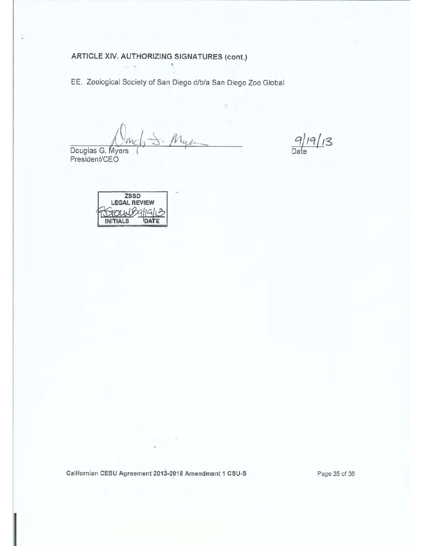EE. Zoological Society of San Diego d/b/a San Diego Zoo Global

Myer

Douglas G. Myers<br>President/CEO

 $9/19/13$ 

ZSSD **LEGAL REVIEW** OLWBAIGH? **INITIALS** DATE

 $\cdot$  .

Californian CESU Agreement 2013-2018 Amendment 1 CSU-S

Page 35 of 36